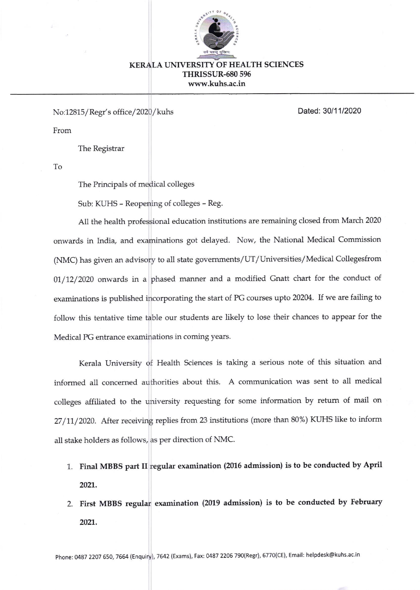

## KERALA UNIVERSITY OF HEALTH SCIENCES THRISSUR-680 595 www.kuhs.ac.in

No:12815/Regr's office/2020/kuhs Dated: 30/11/2020

From

The Registrar

To

The Principals of medical colleges

Sub: KUHS - Reopening of colleges - Reg.

All the health professional education institutions are remaining closed from March 2020 onwards in Lrdia, and examinations got delayed. Now, the National Medical Commission (NMC) has given an advisory to all state govemments/UT/Universities/Medical Collegesfrom 01/12/2020 onwards in a phased manner and a modified Gnatt chart for the conduct of examinations is published incorporating the start of PG courses upto 202M. If we are failing to follow this tentative time table our students are likely to lose their chances to appear for the Medical PG entrance examinations in coming years.

Kerala University of Health Sciences is taking a serious note of this situation and informed all concerned authorities about this. A communication was sent to all medical colleges affiliated to the university requesting fot some information by retum of mail on 27/11,/2020. After receiving replies from 23 institutions (more than 80%) KUHS like to inform all stake holders as follows, as per direction of NMC.

- 1. Final MBBS part II regular examination (2016 admission) is to be conducted by April 2021.
- 2. First MBBS regular examination (2019 admission) is to be conducted by February 2021.